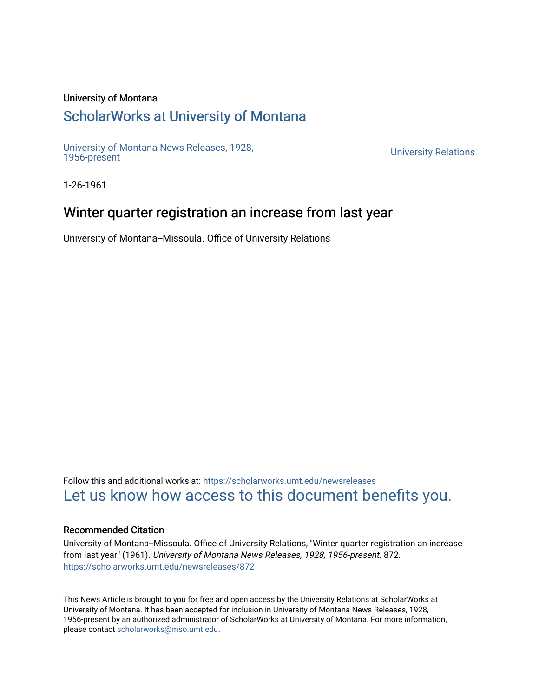## University of Montana

## [ScholarWorks at University of Montana](https://scholarworks.umt.edu/)

[University of Montana News Releases, 1928,](https://scholarworks.umt.edu/newsreleases) 

**University Relations** 

1-26-1961

## Winter quarter registration an increase from last year

University of Montana--Missoula. Office of University Relations

Follow this and additional works at: [https://scholarworks.umt.edu/newsreleases](https://scholarworks.umt.edu/newsreleases?utm_source=scholarworks.umt.edu%2Fnewsreleases%2F872&utm_medium=PDF&utm_campaign=PDFCoverPages) [Let us know how access to this document benefits you.](https://goo.gl/forms/s2rGfXOLzz71qgsB2) 

## Recommended Citation

University of Montana--Missoula. Office of University Relations, "Winter quarter registration an increase from last year" (1961). University of Montana News Releases, 1928, 1956-present. 872. [https://scholarworks.umt.edu/newsreleases/872](https://scholarworks.umt.edu/newsreleases/872?utm_source=scholarworks.umt.edu%2Fnewsreleases%2F872&utm_medium=PDF&utm_campaign=PDFCoverPages)

This News Article is brought to you for free and open access by the University Relations at ScholarWorks at University of Montana. It has been accepted for inclusion in University of Montana News Releases, 1928, 1956-present by an authorized administrator of ScholarWorks at University of Montana. For more information, please contact [scholarworks@mso.umt.edu.](mailto:scholarworks@mso.umt.edu)